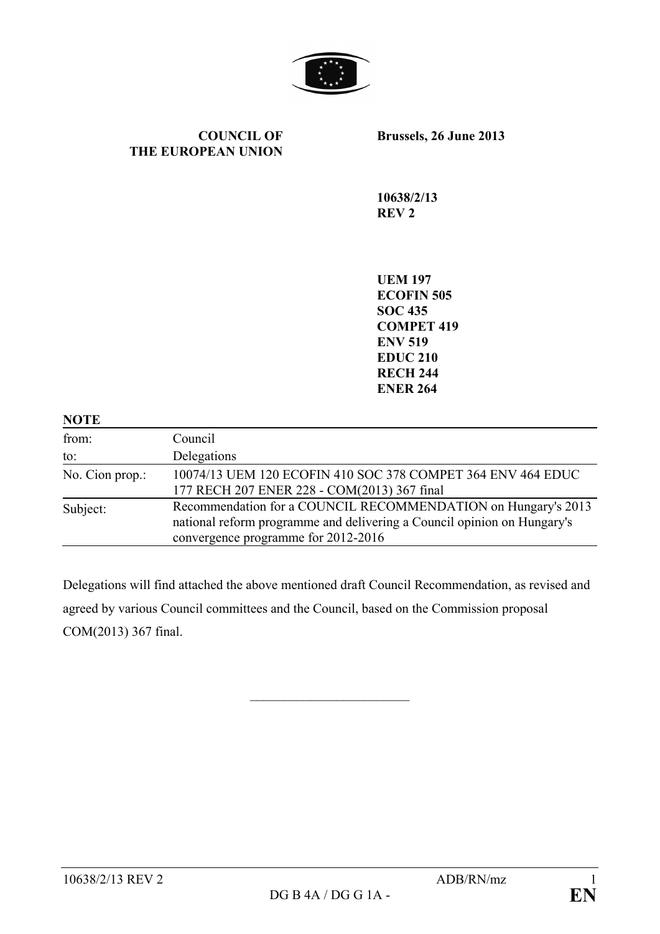

#### **COUNCIL OF THE EUROPEAN UNION**

**Brussels, 26 June 2013**

**10638/2/13 REV 2**

**UEM 197 ECOFIN 505 SOC 435 COMPET 419 ENV 519 EDUC 210 RECH 244 ENER 264**

| <b>NOTE</b>     |                                                                                                                                                                                 |
|-----------------|---------------------------------------------------------------------------------------------------------------------------------------------------------------------------------|
| from:           | Council                                                                                                                                                                         |
| to:             | Delegations                                                                                                                                                                     |
| No. Cion prop.: | 10074/13 UEM 120 ECOFIN 410 SOC 378 COMPET 364 ENV 464 EDUC<br>177 RECH 207 ENER 228 - COM(2013) 367 final                                                                      |
| Subject:        | Recommendation for a COUNCIL RECOMMENDATION on Hungary's 2013<br>national reform programme and delivering a Council opinion on Hungary's<br>convergence programme for 2012-2016 |

Delegations will find attached the above mentioned draft Council Recommendation, as revised and agreed by various Council committees and the Council, based on the Commission proposal COM(2013) 367 final.

 $\overline{\phantom{a}}$  , which is a set of the set of the set of the set of the set of the set of the set of the set of the set of the set of the set of the set of the set of the set of the set of the set of the set of the set of th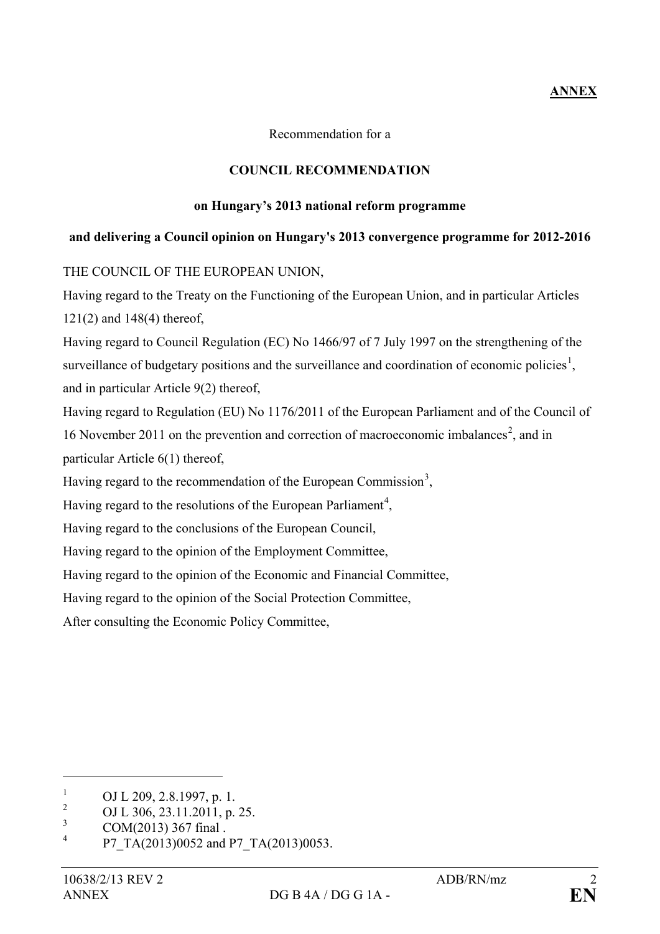## **ANNEX**

Recommendation for a

### **COUNCIL RECOMMENDATION**

#### **on Hungary's 2013 national reform programme**

# **and delivering a Council opinion on Hungary's 2013 convergence programme for 2012-2016**

THE COUNCIL OF THE EUROPEAN UNION,

Having regard to the Treaty on the Functioning of the European Union, and in particular Articles 121(2) and 148(4) thereof,

Having regard to Council Regulation (EC) No 1466/97 of 7 July 1997 on the strengthening of the surveillance of budgetary positions and the surveillance and coordination of economic policies<sup>[1](#page-1-0)</sup>, and in particular Article 9(2) thereof,

Having regard to Regulation (EU) No 1176/2011 of the European Parliament and of the Council of 16 November [2](#page-1-1)011 on the prevention and correction of macroeconomic imbalances<sup>2</sup>, and in particular Article 6(1) thereof,

Having regard to the recommendation of the European Commission<sup>[3](#page-1-2)</sup>,

Having regard to the resolutions of the European Parliament<sup>[4](#page-1-3)</sup>,

Having regard to the conclusions of the European Council,

Having regard to the opinion of the Employment Committee,

Having regard to the opinion of the Economic and Financial Committee,

Having regard to the opinion of the Social Protection Committee,

After consulting the Economic Policy Committee,

<span id="page-1-0"></span><sup>&</sup>lt;sup>1</sup> OJ L 209, 2.8.1997, p. 1.<br><sup>2</sup> OJ L 206, 22, 11, 2011, p.

<span id="page-1-1"></span><sup>&</sup>lt;sup>2</sup> OJ L 306, 23.11.2011, p. 25.

<span id="page-1-2"></span> $\frac{3}{4}$  COM(2013) 367 final.

<span id="page-1-3"></span>P7\_TA(2013)0052 and P7\_TA(2013)0053.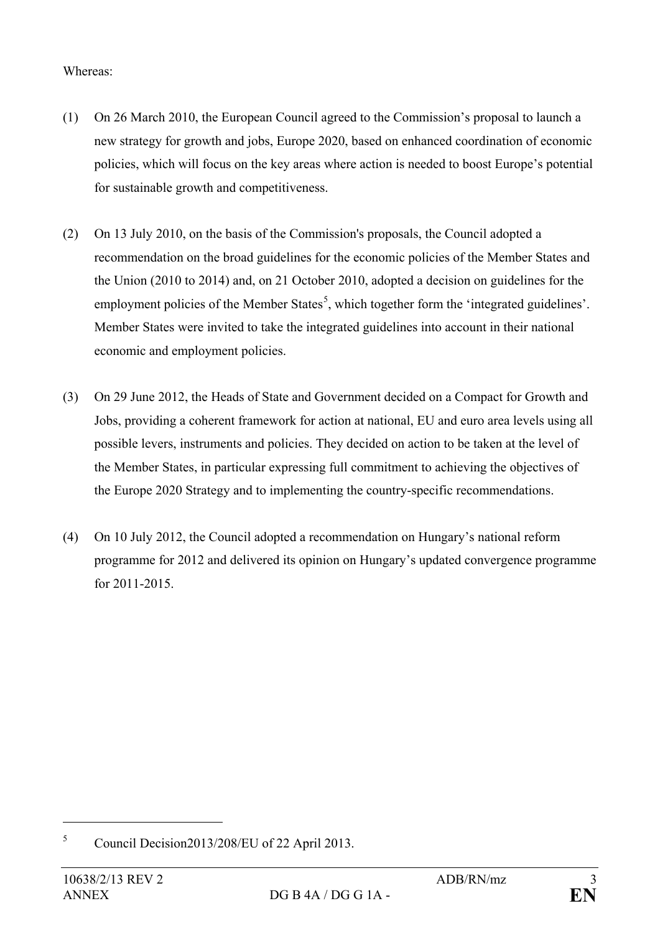## Whereas:

- (1) On 26 March 2010, the European Council agreed to the Commission's proposal to launch a new strategy for growth and jobs, Europe 2020, based on enhanced coordination of economic policies, which will focus on the key areas where action is needed to boost Europe's potential for sustainable growth and competitiveness.
- (2) On 13 July 2010, on the basis of the Commission's proposals, the Council adopted a recommendation on the broad guidelines for the economic policies of the Member States and the Union (2010 to 2014) and, on 21 October 2010, adopted a decision on guidelines for the employment policies of the Member States<sup>[5](#page-2-0)</sup>, which together form the 'integrated guidelines'. Member States were invited to take the integrated guidelines into account in their national economic and employment policies.
- (3) On 29 June 2012, the Heads of State and Government decided on a Compact for Growth and Jobs, providing a coherent framework for action at national, EU and euro area levels using all possible levers, instruments and policies. They decided on action to be taken at the level of the Member States, in particular expressing full commitment to achieving the objectives of the Europe 2020 Strategy and to implementing the country-specific recommendations.
- (4) On 10 July 2012, the Council adopted a recommendation on Hungary's national reform programme for 2012 and delivered its opinion on Hungary's updated convergence programme for 2011-2015.

<span id="page-2-0"></span><sup>5</sup> Council Decision2013/208/EU of 22 April 2013.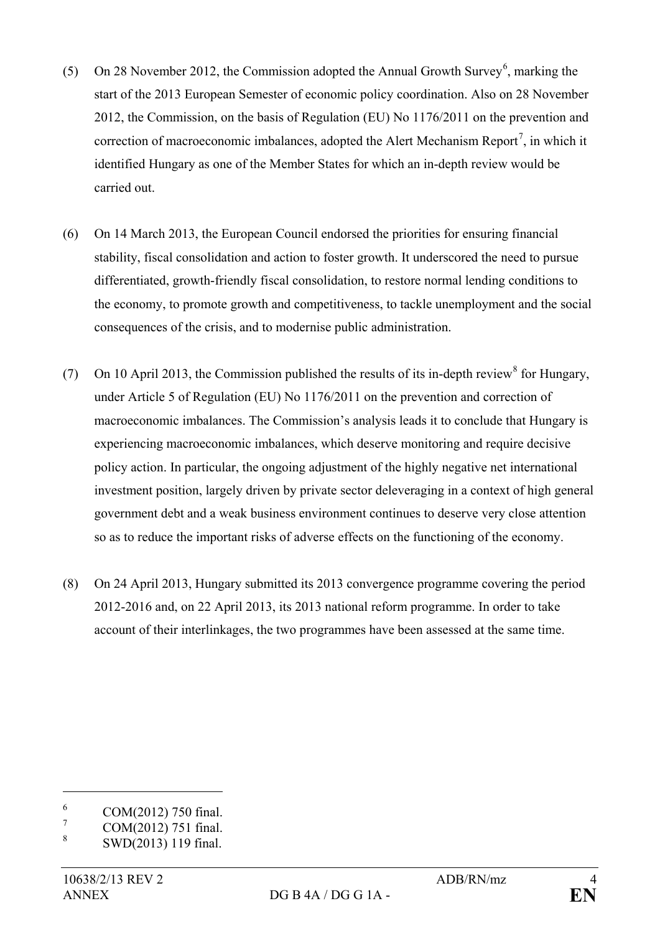- (5) On 28 November 2012, the Commission adopted the Annual Growth Survey<sup>[6](#page-3-0)</sup>, marking the start of the 2013 European Semester of economic policy coordination. Also on 28 November 2012, the Commission, on the basis of Regulation (EU) No 1176/2011 on the prevention and correction of macroeconomic imbalances, adopted the Alert Mechanism Report<sup>[7](#page-3-1)</sup>, in which it identified Hungary as one of the Member States for which an in-depth review would be carried out.
- (6) On 14 March 2013, the European Council endorsed the priorities for ensuring financial stability, fiscal consolidation and action to foster growth. It underscored the need to pursue differentiated, growth-friendly fiscal consolidation, to restore normal lending conditions to the economy, to promote growth and competitiveness, to tackle unemployment and the social consequences of the crisis, and to modernise public administration.
- (7) On 10 April 2013, the Commission published the results of its in-depth review<sup>[8](#page-3-2)</sup> for Hungary, under Article 5 of Regulation (EU) No 1176/2011 on the prevention and correction of macroeconomic imbalances. The Commission's analysis leads it to conclude that Hungary is experiencing macroeconomic imbalances, which deserve monitoring and require decisive policy action. In particular, the ongoing adjustment of the highly negative net international investment position, largely driven by private sector deleveraging in a context of high general government debt and a weak business environment continues to deserve very close attention so as to reduce the important risks of adverse effects on the functioning of the economy.
- (8) On 24 April 2013, Hungary submitted its 2013 convergence programme covering the period 2012-2016 and, on 22 April 2013, its 2013 national reform programme. In order to take account of their interlinkages, the two programmes have been assessed at the same time.

<span id="page-3-0"></span> $^{6}$  COM(2012) 750 final.

<span id="page-3-1"></span> $\frac{7}{8}$  COM(2012) 751 final.

<span id="page-3-2"></span><sup>8</sup> SWD(2013) 119 final.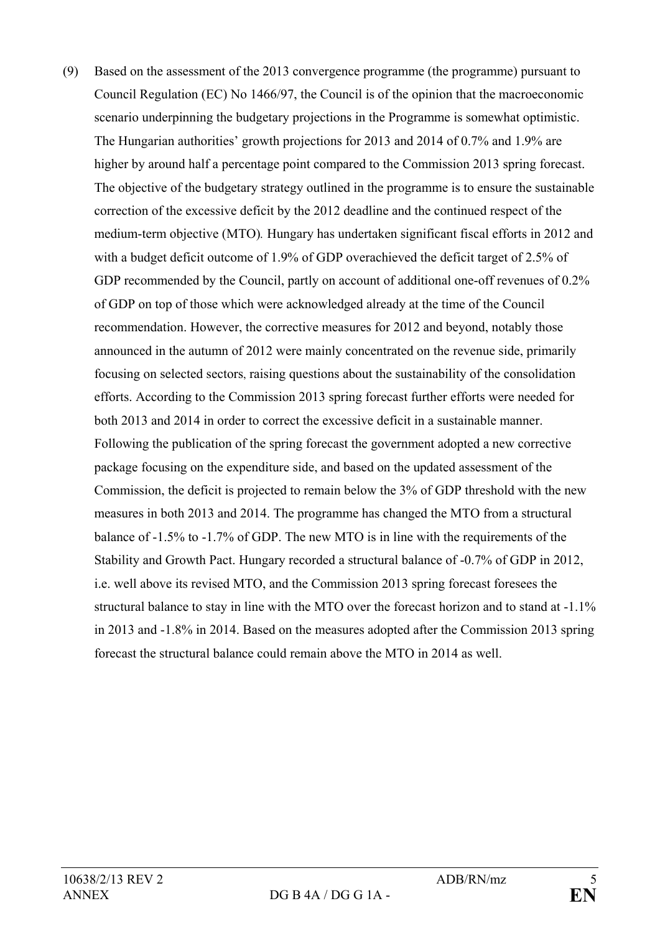(9) Based on the assessment of the 2013 convergence programme (the programme) pursuant to Council Regulation (EC) No 1466/97, the Council is of the opinion that the macroeconomic scenario underpinning the budgetary projections in the Programme is somewhat optimistic. The Hungarian authorities' growth projections for 2013 and 2014 of 0.7% and 1.9% are higher by around half a percentage point compared to the Commission 2013 spring forecast. The objective of the budgetary strategy outlined in the programme is to ensure the sustainable correction of the excessive deficit by the 2012 deadline and the continued respect of the medium-term objective (MTO)*.* Hungary has undertaken significant fiscal efforts in 2012 and with a budget deficit outcome of 1.9% of GDP overachieved the deficit target of 2.5% of GDP recommended by the Council, partly on account of additional one-off revenues of 0.2% of GDP on top of those which were acknowledged already at the time of the Council recommendation. However, the corrective measures for 2012 and beyond, notably those announced in the autumn of 2012 were mainly concentrated on the revenue side, primarily focusing on selected sectors, raising questions about the sustainability of the consolidation efforts. According to the Commission 2013 spring forecast further efforts were needed for both 2013 and 2014 in order to correct the excessive deficit in a sustainable manner. Following the publication of the spring forecast the government adopted a new corrective package focusing on the expenditure side, and based on the updated assessment of the Commission, the deficit is projected to remain below the 3% of GDP threshold with the new measures in both 2013 and 2014. The programme has changed the MTO from a structural balance of -1.5% to -1.7% of GDP. The new MTO is in line with the requirements of the Stability and Growth Pact. Hungary recorded a structural balance of -0.7% of GDP in 2012, i.e. well above its revised MTO, and the Commission 2013 spring forecast foresees the structural balance to stay in line with the MTO over the forecast horizon and to stand at -1.1% in 2013 and -1.8% in 2014. Based on the measures adopted after the Commission 2013 spring forecast the structural balance could remain above the MTO in 2014 as well.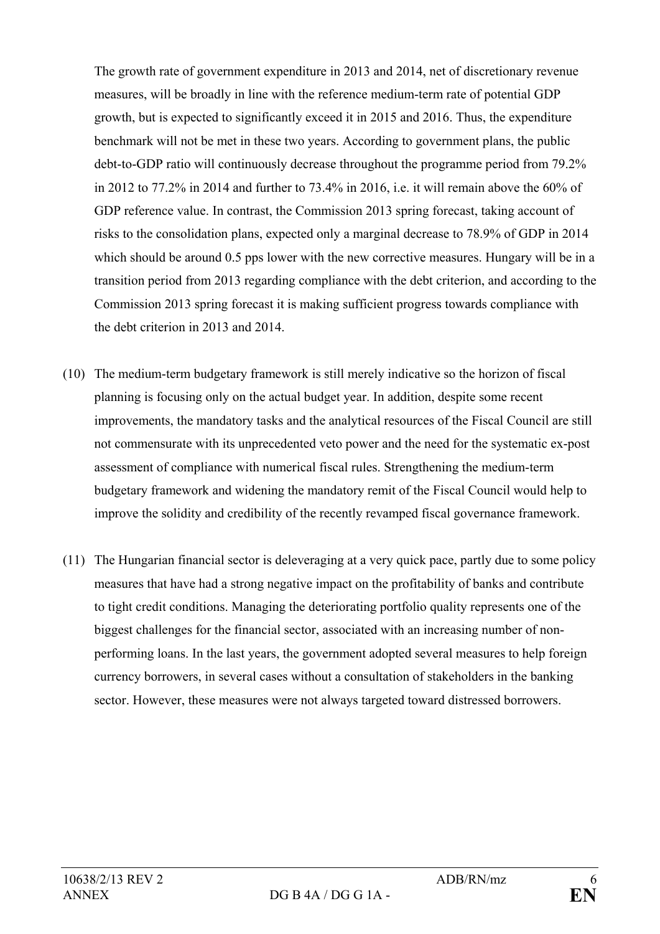The growth rate of government expenditure in 2013 and 2014, net of discretionary revenue measures, will be broadly in line with the reference medium-term rate of potential GDP growth, but is expected to significantly exceed it in 2015 and 2016. Thus, the expenditure benchmark will not be met in these two years. According to government plans, the public debt-to-GDP ratio will continuously decrease throughout the programme period from 79.2% in 2012 to 77.2% in 2014 and further to 73.4% in 2016, i.e. it will remain above the 60% of GDP reference value. In contrast, the Commission 2013 spring forecast, taking account of risks to the consolidation plans, expected only a marginal decrease to 78.9% of GDP in 2014 which should be around 0.5 pps lower with the new corrective measures. Hungary will be in a transition period from 2013 regarding compliance with the debt criterion, and according to the Commission 2013 spring forecast it is making sufficient progress towards compliance with the debt criterion in 2013 and 2014.

- (10) The medium-term budgetary framework is still merely indicative so the horizon of fiscal planning is focusing only on the actual budget year. In addition, despite some recent improvements, the mandatory tasks and the analytical resources of the Fiscal Council are still not commensurate with its unprecedented veto power and the need for the systematic ex-post assessment of compliance with numerical fiscal rules. Strengthening the medium-term budgetary framework and widening the mandatory remit of the Fiscal Council would help to improve the solidity and credibility of the recently revamped fiscal governance framework.
- (11) The Hungarian financial sector is deleveraging at a very quick pace, partly due to some policy measures that have had a strong negative impact on the profitability of banks and contribute to tight credit conditions. Managing the deteriorating portfolio quality represents one of the biggest challenges for the financial sector, associated with an increasing number of nonperforming loans. In the last years, the government adopted several measures to help foreign currency borrowers, in several cases without a consultation of stakeholders in the banking sector. However, these measures were not always targeted toward distressed borrowers.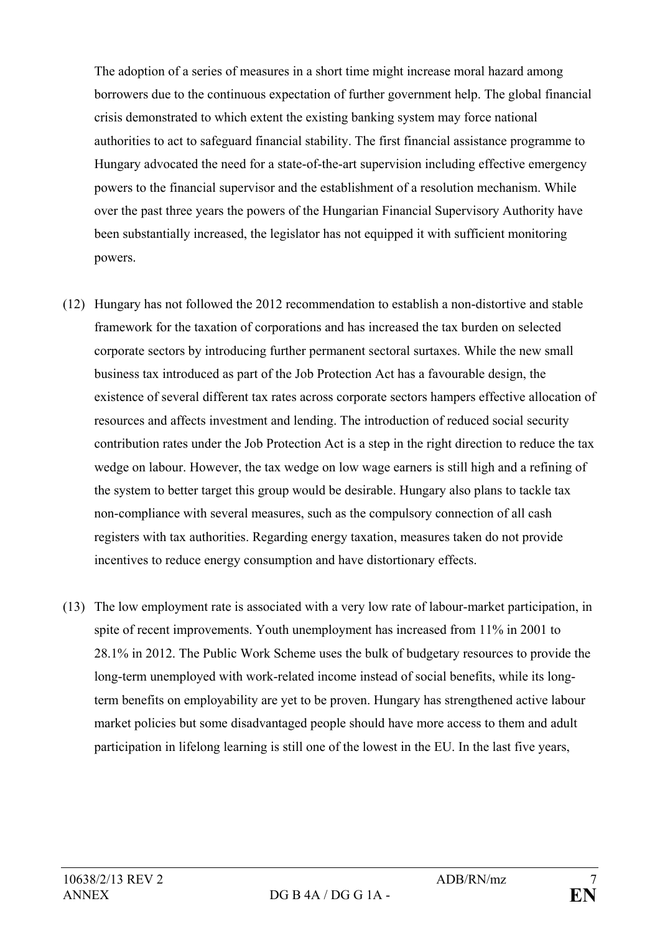The adoption of a series of measures in a short time might increase moral hazard among borrowers due to the continuous expectation of further government help. The global financial crisis demonstrated to which extent the existing banking system may force national authorities to act to safeguard financial stability. The first financial assistance programme to Hungary advocated the need for a state-of-the-art supervision including effective emergency powers to the financial supervisor and the establishment of a resolution mechanism. While over the past three years the powers of the Hungarian Financial Supervisory Authority have been substantially increased, the legislator has not equipped it with sufficient monitoring powers.

- (12) Hungary has not followed the 2012 recommendation to establish a non-distortive and stable framework for the taxation of corporations and has increased the tax burden on selected corporate sectors by introducing further permanent sectoral surtaxes. While the new small business tax introduced as part of the Job Protection Act has a favourable design, the existence of several different tax rates across corporate sectors hampers effective allocation of resources and affects investment and lending. The introduction of reduced social security contribution rates under the Job Protection Act is a step in the right direction to reduce the tax wedge on labour. However, the tax wedge on low wage earners is still high and a refining of the system to better target this group would be desirable. Hungary also plans to tackle tax non-compliance with several measures, such as the compulsory connection of all cash registers with tax authorities. Regarding energy taxation, measures taken do not provide incentives to reduce energy consumption and have distortionary effects.
- (13) The low employment rate is associated with a very low rate of labour-market participation, in spite of recent improvements. Youth unemployment has increased from 11% in 2001 to 28.1% in 2012. The Public Work Scheme uses the bulk of budgetary resources to provide the long-term unemployed with work-related income instead of social benefits, while its longterm benefits on employability are yet to be proven. Hungary has strengthened active labour market policies but some disadvantaged people should have more access to them and adult participation in lifelong learning is still one of the lowest in the EU. In the last five years,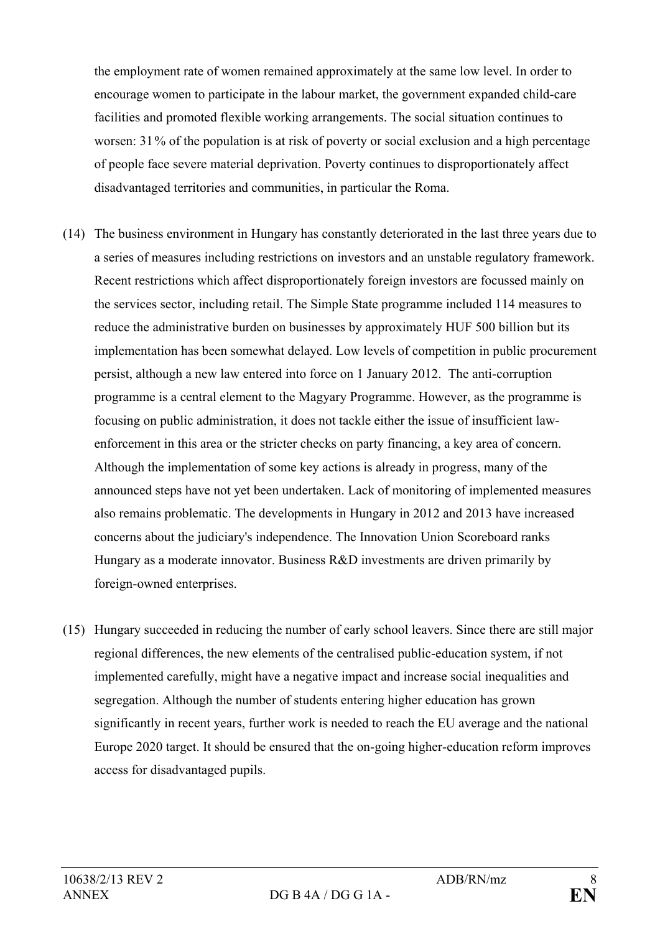the employment rate of women remained approximately at the same low level. In order to encourage women to participate in the labour market, the government expanded child-care facilities and promoted flexible working arrangements. The social situation continues to worsen: 31% of the population is at risk of poverty or social exclusion and a high percentage of people face severe material deprivation. Poverty continues to disproportionately affect disadvantaged territories and communities, in particular the Roma.

- (14) The business environment in Hungary has constantly deteriorated in the last three years due to a series of measures including restrictions on investors and an unstable regulatory framework. Recent restrictions which affect disproportionately foreign investors are focussed mainly on the services sector, including retail. The Simple State programme included 114 measures to reduce the administrative burden on businesses by approximately HUF 500 billion but its implementation has been somewhat delayed. Low levels of competition in public procurement persist, although a new law entered into force on 1 January 2012. The anti-corruption programme is a central element to the Magyary Programme. However, as the programme is focusing on public administration, it does not tackle either the issue of insufficient lawenforcement in this area or the stricter checks on party financing, a key area of concern. Although the implementation of some key actions is already in progress, many of the announced steps have not yet been undertaken. Lack of monitoring of implemented measures also remains problematic. The developments in Hungary in 2012 and 2013 have increased concerns about the judiciary's independence. The Innovation Union Scoreboard ranks Hungary as a moderate innovator. Business R&D investments are driven primarily by foreign-owned enterprises.
- (15) Hungary succeeded in reducing the number of early school leavers. Since there are still major regional differences, the new elements of the centralised public-education system, if not implemented carefully, might have a negative impact and increase social inequalities and segregation. Although the number of students entering higher education has grown significantly in recent years, further work is needed to reach the EU average and the national Europe 2020 target. It should be ensured that the on-going higher-education reform improves access for disadvantaged pupils.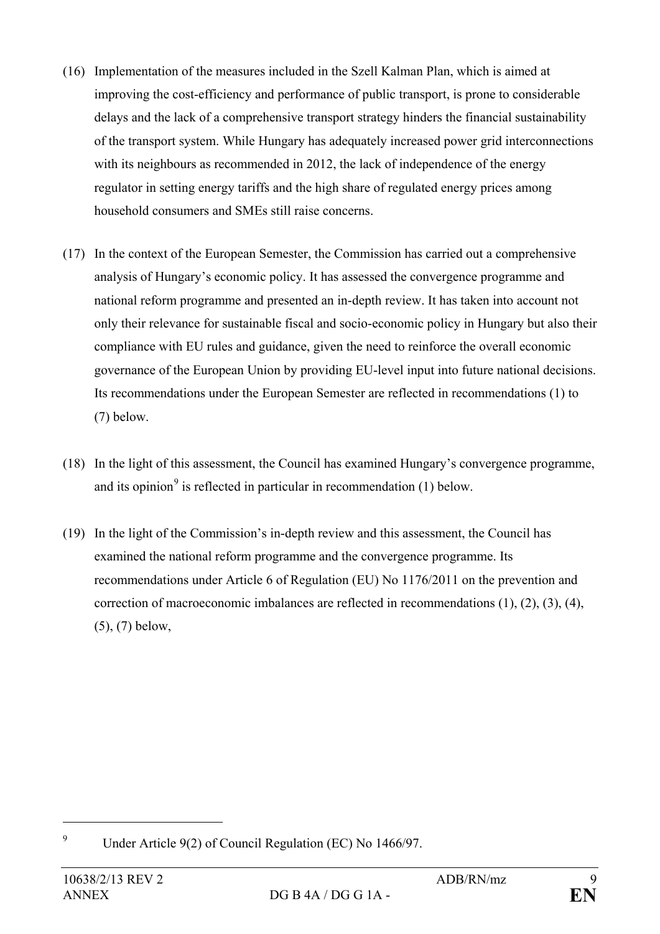- (16) Implementation of the measures included in the Szell Kalman Plan, which is aimed at improving the cost-efficiency and performance of public transport, is prone to considerable delays and the lack of a comprehensive transport strategy hinders the financial sustainability of the transport system. While Hungary has adequately increased power grid interconnections with its neighbours as recommended in 2012, the lack of independence of the energy regulator in setting energy tariffs and the high share of regulated energy prices among household consumers and SMEs still raise concerns.
- (17) In the context of the European Semester, the Commission has carried out a comprehensive analysis of Hungary's economic policy. It has assessed the convergence programme and national reform programme and presented an in-depth review. It has taken into account not only their relevance for sustainable fiscal and socio-economic policy in Hungary but also their compliance with EU rules and guidance, given the need to reinforce the overall economic governance of the European Union by providing EU-level input into future national decisions. Its recommendations under the European Semester are reflected in recommendations (1) to (7) below.
- (18) In the light of this assessment, the Council has examined Hungary's convergence programme, and its opinion<sup>[9](#page-8-0)</sup> is reflected in particular in recommendation  $(1)$  below.
- (19) In the light of the Commission's in-depth review and this assessment, the Council has examined the national reform programme and the convergence programme. Its recommendations under Article 6 of Regulation (EU) No 1176/2011 on the prevention and correction of macroeconomic imbalances are reflected in recommendations (1), (2), (3), (4), (5), (7) below,

<span id="page-8-0"></span><sup>9</sup> Under Article 9(2) of Council Regulation (EC) No 1466/97.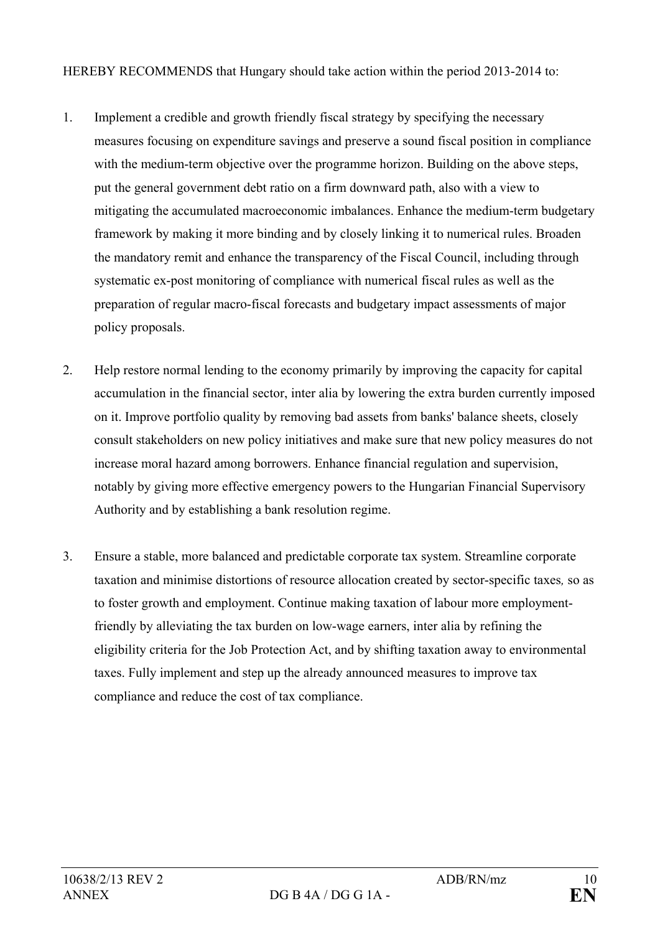HEREBY RECOMMENDS that Hungary should take action within the period 2013-2014 to:

- 1. Implement a credible and growth friendly fiscal strategy by specifying the necessary measures focusing on expenditure savings and preserve a sound fiscal position in compliance with the medium-term objective over the programme horizon. Building on the above steps, put the general government debt ratio on a firm downward path, also with a view to mitigating the accumulated macroeconomic imbalances. Enhance the medium-term budgetary framework by making it more binding and by closely linking it to numerical rules. Broaden the mandatory remit and enhance the transparency of the Fiscal Council, including through systematic ex-post monitoring of compliance with numerical fiscal rules as well as the preparation of regular macro-fiscal forecasts and budgetary impact assessments of major policy proposals.
- 2. Help restore normal lending to the economy primarily by improving the capacity for capital accumulation in the financial sector, inter alia by lowering the extra burden currently imposed on it. Improve portfolio quality by removing bad assets from banks' balance sheets, closely consult stakeholders on new policy initiatives and make sure that new policy measures do not increase moral hazard among borrowers. Enhance financial regulation and supervision, notably by giving more effective emergency powers to the Hungarian Financial Supervisory Authority and by establishing a bank resolution regime.
- 3. Ensure a stable, more balanced and predictable corporate tax system. Streamline corporate taxation and minimise distortions of resource allocation created by sector-specific taxes*,* so as to foster growth and employment. Continue making taxation of labour more employmentfriendly by alleviating the tax burden on low-wage earners, inter alia by refining the eligibility criteria for the Job Protection Act, and by shifting taxation away to environmental taxes. Fully implement and step up the already announced measures to improve tax compliance and reduce the cost of tax compliance.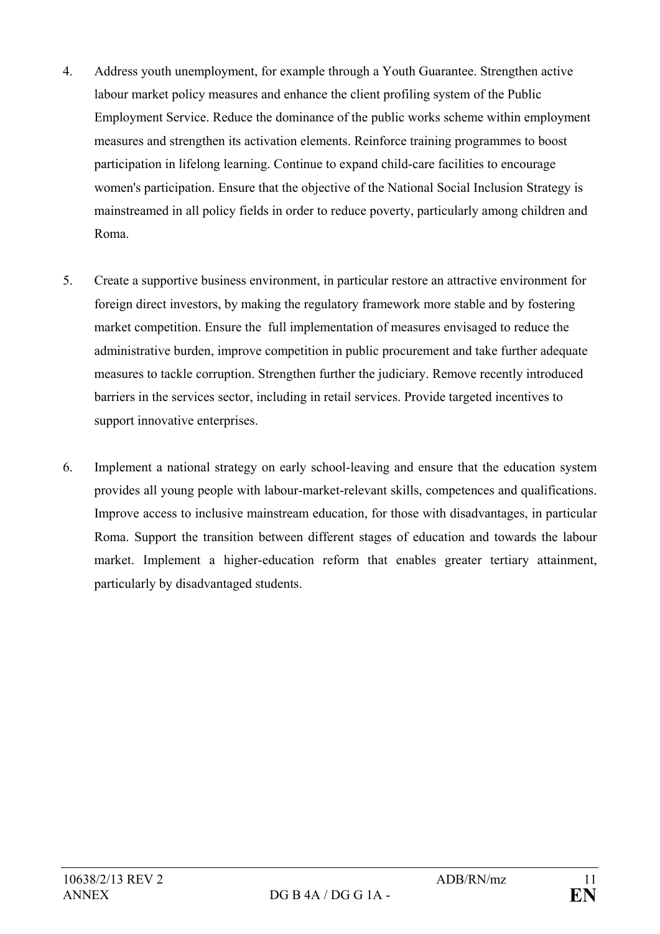- 4. Address youth unemployment, for example through a Youth Guarantee. Strengthen active labour market policy measures and enhance the client profiling system of the Public Employment Service. Reduce the dominance of the public works scheme within employment measures and strengthen its activation elements. Reinforce training programmes to boost participation in lifelong learning. Continue to expand child-care facilities to encourage women's participation. Ensure that the objective of the National Social Inclusion Strategy is mainstreamed in all policy fields in order to reduce poverty, particularly among children and Roma.
- 5. Create a supportive business environment, in particular restore an attractive environment for foreign direct investors, by making the regulatory framework more stable and by fostering market competition. Ensure the full implementation of measures envisaged to reduce the administrative burden, improve competition in public procurement and take further adequate measures to tackle corruption. Strengthen further the judiciary. Remove recently introduced barriers in the services sector, including in retail services. Provide targeted incentives to support innovative enterprises.
- 6. Implement a national strategy on early school-leaving and ensure that the education system provides all young people with labour-market-relevant skills, competences and qualifications. Improve access to inclusive mainstream education, for those with disadvantages, in particular Roma. Support the transition between different stages of education and towards the labour market. Implement a higher-education reform that enables greater tertiary attainment, particularly by disadvantaged students.